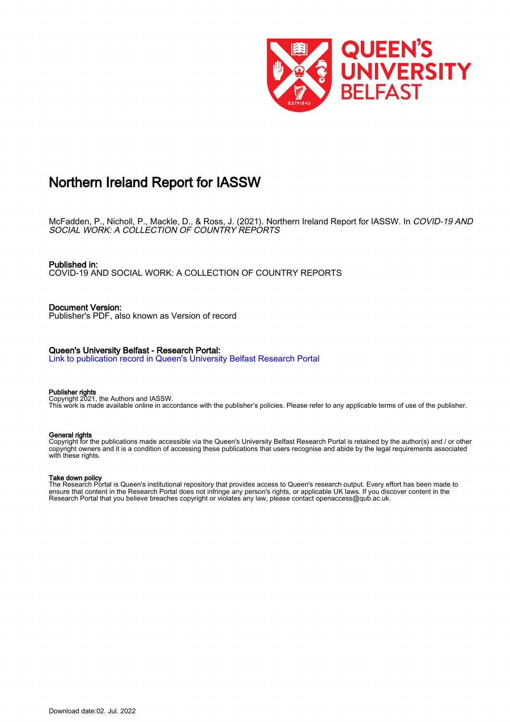

## Northern Ireland Report for IASSW

McFadden, P., Nicholl, P., Mackle, D., & Ross, J. (2021). Northern Ireland Report for IASSW. In *COVID-19 AND*<br>*SOCIAL WORK: A COLLECTION OF COUNTRY REPORTS* 

Published in: COVID-19 AND SOCIAL WORK: A COLLECTION OF COUNTRY REPORTS

Document Version: Publisher's PDF, also known as Version of record

## Queen's University Belfast - Research Portal:

[Link to publication record in Queen's University Belfast Research Portal](https://pure.qub.ac.uk/en/publications/d9e4aae2-e575-4e14-8e91-d96205f7077e)

#### Publisher rights

Copyright 2021, the Authors and IASSW. This work is made available online in accordance with the publisher's policies. Please refer to any applicable terms of use of the publisher.

### General rights

Copyright for the publications made accessible via the Queen's University Belfast Research Portal is retained by the author(s) and / or other copyright owners and it is a condition of accessing these publications that users recognise and abide by the legal requirements associated with these rights.

## Take down policy

The Research Portal is Queen's institutional repository that provides access to Queen's research output. Every effort has been made to ensure that content in the Research Portal does not infringe any person's rights, or applicable UK laws. If you discover content in the Research Portal that you believe breaches copyright or violates any law, please contact openaccess@qub.ac.uk.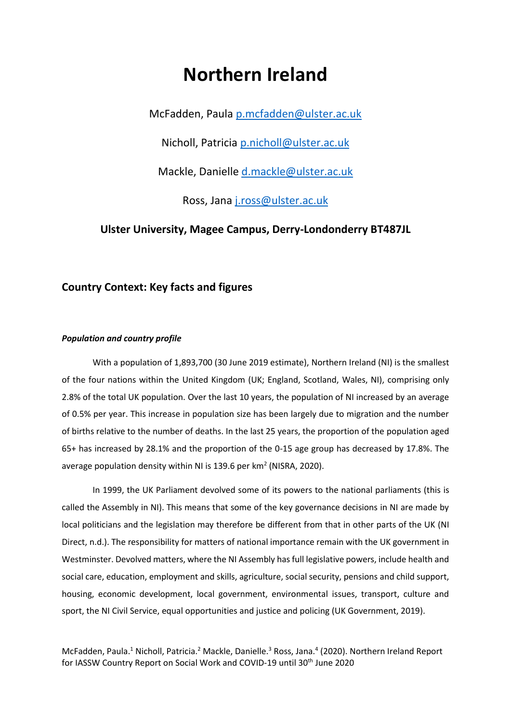# **Northern Ireland**

McFadden, Paula [p.mcfadden@ulster.ac.uk](mailto:p.mcfadden@ulster.ac.uk)

Nicholl, Patricia [p.nicholl@ulster.ac.uk](mailto:p.nicholl@ulster.ac.uk)

Mackle, Danielle [d.mackle@ulster.ac.uk](mailto:d.mackle@ulster.ac.uk)

Ross, Jana [j.ross@ulster.ac.uk](mailto:j.ross@ulster.ac.uk)

## **Ulster University, Magee Campus, Derry-Londonderry BT487JL**

## **Country Context: Key facts and figures**

## *Population and country profile*

With a population of 1,893,700 (30 June 2019 estimate), Northern Ireland (NI) is the smallest of the four nations within the United Kingdom (UK; England, Scotland, Wales, NI), comprising only 2.8% of the total UK population. Over the last 10 years, the population of NI increased by an average of 0.5% per year. This increase in population size has been largely due to migration and the number of births relative to the number of deaths. In the last 25 years, the proportion of the population aged 65+ has increased by 28.1% and the proportion of the 0-15 age group has decreased by 17.8%. The average population density within NI is 139.6 per km<sup>2</sup> (NISRA, 2020).

In 1999, the UK Parliament devolved some of its powers to the national parliaments (this is called the Assembly in NI). This means that some of the key governance decisions in NI are made by local politicians and the legislation may therefore be different from that in other parts of the UK (NI Direct, n.d.). The responsibility for matters of national importance remain with the UK government in Westminster. Devolved matters, where the NI Assembly has full legislative powers, include health and social care, education, employment and skills, agriculture, social security, pensions and child support, housing, economic development, local government, environmental issues, transport, culture and sport, the NI Civil Service, equal opportunities and justice and policing (UK Government, 2019).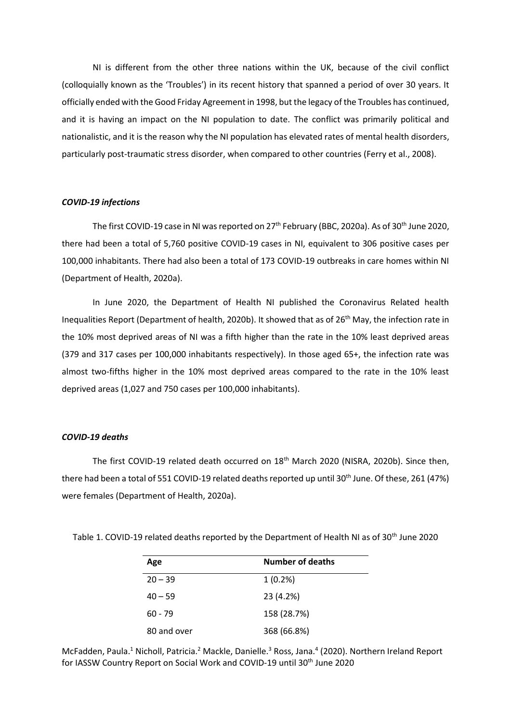NI is different from the other three nations within the UK, because of the civil conflict (colloquially known as the 'Troubles') in its recent history that spanned a period of over 30 years. It officially ended with the Good Friday Agreement in 1998, but the legacy of the Troubles has continued, and it is having an impact on the NI population to date. The conflict was primarily political and nationalistic, and it is the reason why the NI population has elevated rates of mental health disorders, particularly post-traumatic stress disorder, when compared to other countries (Ferry et al., 2008).

## *COVID-19 infections*

The first COVID-19 case in NI was reported on 27<sup>th</sup> February (BBC, 2020a). As of 30<sup>th</sup> June 2020, there had been a total of 5,760 positive COVID-19 cases in NI, equivalent to 306 positive cases per 100,000 inhabitants. There had also been a total of 173 COVID-19 outbreaks in care homes within NI (Department of Health, 2020a).

In June 2020, the Department of Health NI published the Coronavirus Related health Inequalities Report (Department of health, 2020b). It showed that as of 26<sup>th</sup> May, the infection rate in the 10% most deprived areas of NI was a fifth higher than the rate in the 10% least deprived areas (379 and 317 cases per 100,000 inhabitants respectively). In those aged 65+, the infection rate was almost two-fifths higher in the 10% most deprived areas compared to the rate in the 10% least deprived areas (1,027 and 750 cases per 100,000 inhabitants).

## *COVID-19 deaths*

The first COVID-19 related death occurred on 18<sup>th</sup> March 2020 (NISRA, 2020b). Since then, there had been a total of 551 COVID-19 related deaths reported up until 30<sup>th</sup> June. Of these, 261 (47%) were females (Department of Health, 2020a).

| Age         | Number of deaths |
|-------------|------------------|
| $20 - 39$   | $1(0.2\%)$       |
| $40 - 59$   | 23 (4.2%)        |
| $60 - 79$   | 158 (28.7%)      |
| 80 and over | 368 (66.8%)      |

Table 1. COVID-19 related deaths reported by the Department of Health NI as of 30<sup>th</sup> June 2020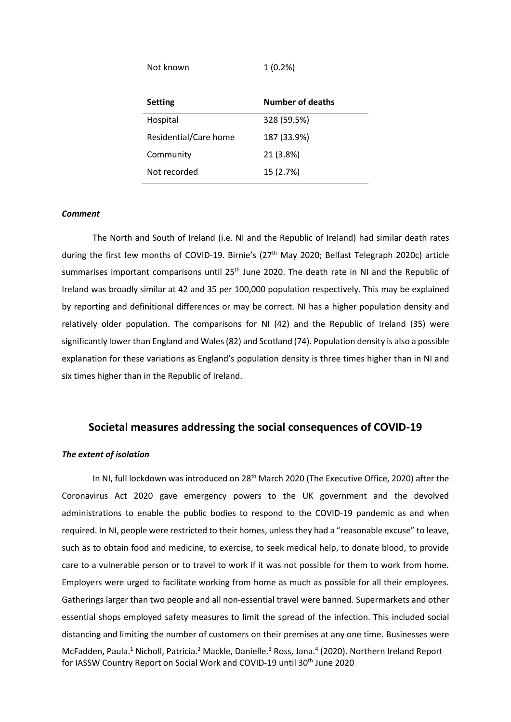Not known 1 (0.2%)

| <b>Setting</b>        | <b>Number of deaths</b> |
|-----------------------|-------------------------|
| Hospital              | 328 (59.5%)             |
| Residential/Care home | 187 (33.9%)             |
| Community             | 21 (3.8%)               |
| Not recorded          | 15 (2.7%)               |

## *Comment*

The North and South of Ireland (i.e. NI and the Republic of Ireland) had similar death rates during the first few months of COVID-19. Birnie's (27<sup>th</sup> May 2020; Belfast Telegraph 2020c) article summarises important comparisons until 25<sup>th</sup> June 2020. The death rate in NI and the Republic of Ireland was broadly similar at 42 and 35 per 100,000 population respectively. This may be explained by reporting and definitional differences or may be correct. NI has a higher population density and relatively older population. The comparisons for NI (42) and the Republic of Ireland (35) were significantly lower than England and Wales (82) and Scotland (74). Population density is also a possible explanation for these variations as England's population density is three times higher than in NI and six times higher than in the Republic of Ireland.

## **Societal measures addressing the social consequences of COVID-19**

## *The extent of isolation*

McFadden, Paula.<sup>1</sup> Nicholl, Patricia.<sup>2</sup> Mackle, Danielle.<sup>3</sup> Ross, Jana.<sup>4</sup> (2020). Northern Ireland Report for IASSW Country Report on Social Work and COVID-19 until 30<sup>th</sup> June 2020 In NI, full lockdown was introduced on 28<sup>th</sup> March 2020 (The Executive Office, 2020) after the Coronavirus Act 2020 gave emergency powers to the UK government and the devolved administrations to enable the public bodies to respond to the COVID-19 pandemic as and when required. In NI, people were restricted to their homes, unless they had a "reasonable excuse" to leave, such as to obtain food and medicine, to exercise, to seek medical help, to donate blood, to provide care to a vulnerable person or to travel to work if it was not possible for them to work from home. Employers were urged to facilitate working from home as much as possible for all their employees. Gatherings larger than two people and all non-essential travel were banned. Supermarkets and other essential shops employed safety measures to limit the spread of the infection. This included social distancing and limiting the number of customers on their premises at any one time. Businesses were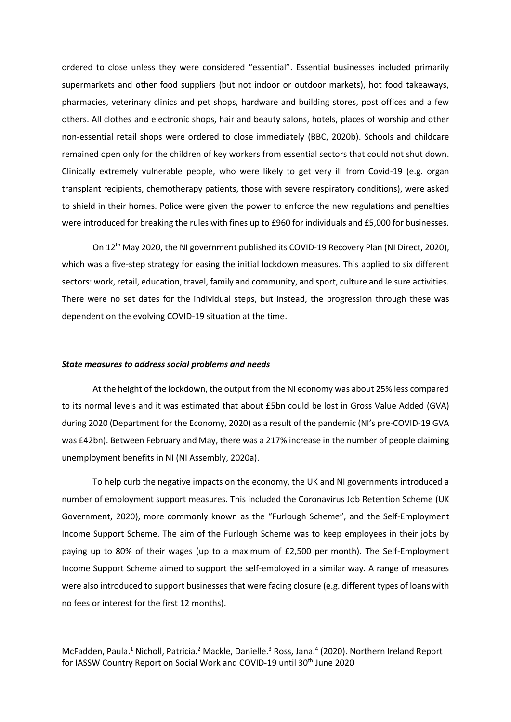ordered to close unless they were considered "essential". Essential businesses included primarily supermarkets and other food suppliers (but not indoor or outdoor markets), hot food takeaways, pharmacies, veterinary clinics and pet shops, hardware and building stores, post offices and a few others. All clothes and electronic shops, hair and beauty salons, hotels, places of worship and other non-essential retail shops were ordered to close immediately (BBC, 2020b). Schools and childcare remained open only for the children of key workers from essential sectors that could not shut down. Clinically extremely vulnerable people, who were likely to get very ill from Covid-19 (e.g. organ transplant recipients, chemotherapy patients, those with severe respiratory conditions), were asked to shield in their homes. Police were given the power to enforce the new regulations and penalties were introduced for breaking the rules with fines up to £960 for individuals and £5,000 for businesses.

On 12th May 2020, the NI government published its COVID-19 Recovery Plan (NI Direct, 2020), which was a five-step strategy for easing the initial lockdown measures. This applied to six different sectors: work, retail, education, travel, family and community, and sport, culture and leisure activities. There were no set dates for the individual steps, but instead, the progression through these was dependent on the evolving COVID-19 situation at the time.

#### *State measures to address social problems and needs*

At the height of the lockdown, the output from the NI economy was about 25% less compared to its normal levels and it was estimated that about £5bn could be lost in Gross Value Added (GVA) during 2020 (Department for the Economy, 2020) as a result of the pandemic (NI's pre-COVID-19 GVA was £42bn). Between February and May, there was a 217% increase in the number of people claiming unemployment benefits in NI (NI Assembly, 2020a).

To help curb the negative impacts on the economy, the UK and NI governments introduced a number of employment support measures. This included the Coronavirus Job Retention Scheme (UK Government, 2020), more commonly known as the "Furlough Scheme", and the Self-Employment Income Support Scheme. The aim of the Furlough Scheme was to keep employees in their jobs by paying up to 80% of their wages (up to a maximum of £2,500 per month). The Self-Employment Income Support Scheme aimed to support the self-employed in a similar way. A range of measures were also introduced to support businesses that were facing closure (e.g. different types of loans with no fees or interest for the first 12 months).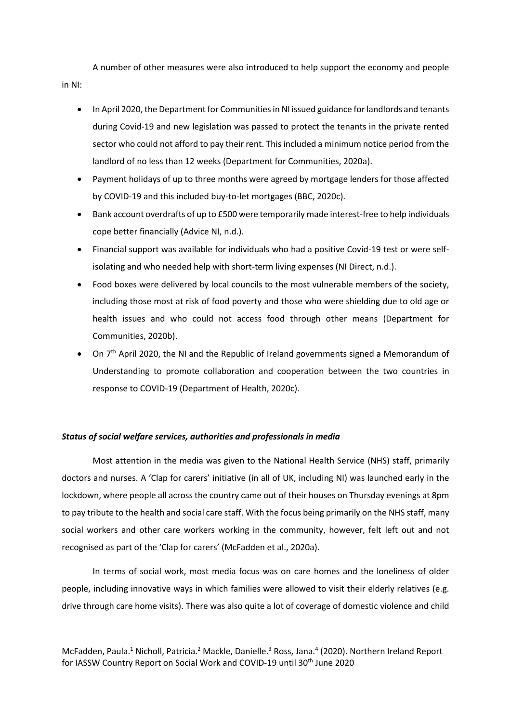A number of other measures were also introduced to help support the economy and people in NI:

- In April 2020, the Department for Communities in NI issued guidance for landlords and tenants during Covid-19 and new legislation was passed to protect the tenants in the private rented sector who could not afford to pay their rent. This included a minimum notice period from the landlord of no less than 12 weeks (Department for Communities, 2020a).
- Payment holidays of up to three months were agreed by mortgage lenders for those affected by COVID-19 and this included buy-to-let mortgages (BBC, 2020c).
- Bank account overdrafts of up to £500 were temporarily made interest-free to help individuals cope better financially (Advice NI, n.d.).
- Financial support was available for individuals who had a positive Covid-19 test or were selfisolating and who needed help with short-term living expenses (NI Direct, n.d.).
- Food boxes were delivered by local councils to the most vulnerable members of the society, including those most at risk of food poverty and those who were shielding due to old age or health issues and who could not access food through other means (Department for Communities, 2020b).
- On  $7<sup>th</sup>$  April 2020, the NI and the Republic of Ireland governments signed a Memorandum of Understanding to promote collaboration and cooperation between the two countries in response to COVID-19 (Department of Health, 2020c).

## *Status of social welfare services, authorities and professionals in media*

Most attention in the media was given to the National Health Service (NHS) staff, primarily doctors and nurses. A 'Clap for carers' initiative (in all of UK, including NI) was launched early in the lockdown, where people all across the country came out of their houses on Thursday evenings at 8pm to pay tribute to the health and social care staff. With the focus being primarily on the NHS staff, many social workers and other care workers working in the community, however, felt left out and not recognised as part of the 'Clap for carers' (McFadden et al., 2020a).

In terms of social work, most media focus was on care homes and the loneliness of older people, including innovative ways in which families were allowed to visit their elderly relatives (e.g. drive through care home visits). There was also quite a lot of coverage of domestic violence and child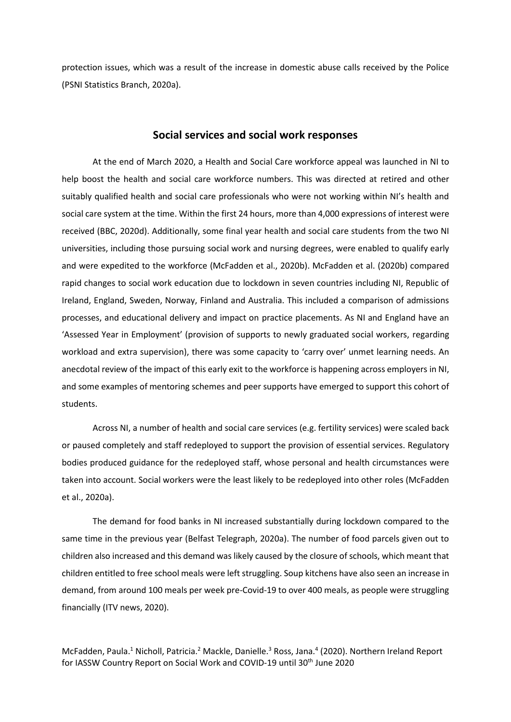protection issues, which was a result of the increase in domestic abuse calls received by the Police (PSNI Statistics Branch, 2020a).

## **Social services and social work responses**

At the end of March 2020, a Health and Social Care workforce appeal was launched in NI to help boost the health and social care workforce numbers. This was directed at retired and other suitably qualified health and social care professionals who were not working within NI's health and social care system at the time. Within the first 24 hours, more than 4,000 expressions of interest were received (BBC, 2020d). Additionally, some final year health and social care students from the two NI universities, including those pursuing social work and nursing degrees, were enabled to qualify early and were expedited to the workforce (McFadden et al., 2020b). McFadden et al. (2020b) compared rapid changes to social work education due to lockdown in seven countries including NI, Republic of Ireland, England, Sweden, Norway, Finland and Australia. This included a comparison of admissions processes, and educational delivery and impact on practice placements. As NI and England have an 'Assessed Year in Employment' (provision of supports to newly graduated social workers, regarding workload and extra supervision), there was some capacity to 'carry over' unmet learning needs. An anecdotal review of the impact of this early exit to the workforce is happening across employers in NI, and some examples of mentoring schemes and peer supports have emerged to support this cohort of students.

Across NI, a number of health and social care services (e.g. fertility services) were scaled back or paused completely and staff redeployed to support the provision of essential services. Regulatory bodies produced guidance for the redeployed staff, whose personal and health circumstances were taken into account. Social workers were the least likely to be redeployed into other roles (McFadden et al., 2020a).

The demand for food banks in NI increased substantially during lockdown compared to the same time in the previous year (Belfast Telegraph, 2020a). The number of food parcels given out to children also increased and this demand was likely caused by the closure of schools, which meant that children entitled to free school meals were left struggling. Soup kitchens have also seen an increase in demand, from around 100 meals per week pre-Covid-19 to over 400 meals, as people were struggling financially (ITV news, 2020).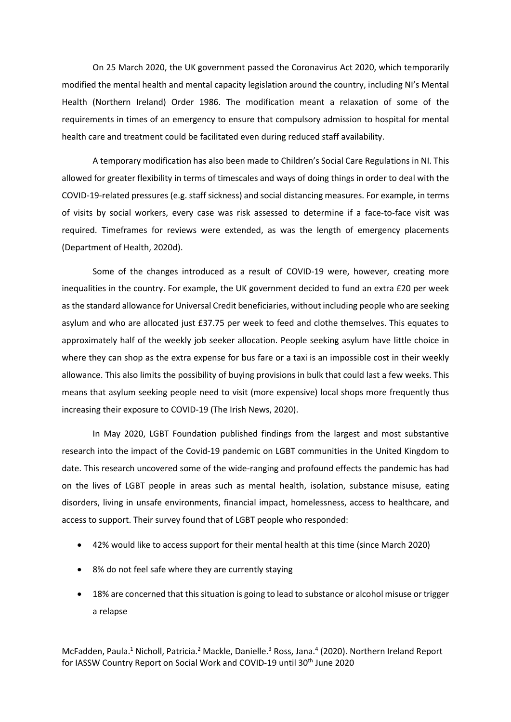On 25 March 2020, the UK government passed the Coronavirus Act 2020, which temporarily modified the mental health and mental capacity legislation around the country, including NI's Mental Health (Northern Ireland) Order 1986. The modification meant a relaxation of some of the requirements in times of an emergency to ensure that compulsory admission to hospital for mental health care and treatment could be facilitated even during reduced staff availability.

A temporary modification has also been made to Children's Social Care Regulations in NI. This allowed for greater flexibility in terms of timescales and ways of doing things in order to deal with the COVID-19-related pressures (e.g. staff sickness) and social distancing measures. For example, in terms of visits by social workers, every case was risk assessed to determine if a face-to-face visit was required. Timeframes for reviews were extended, as was the length of emergency placements (Department of Health, 2020d).

Some of the changes introduced as a result of COVID-19 were, however, creating more inequalities in the country. For example, the UK government decided to fund an extra £20 per week as the standard allowance for Universal Credit beneficiaries, without including people who are seeking asylum and who are allocated just £37.75 per week to feed and clothe themselves. This equates to approximately half of the weekly job seeker allocation. People seeking asylum have little choice in where they can shop as the extra expense for bus fare or a taxi is an impossible cost in their weekly allowance. This also limits the possibility of buying provisions in bulk that could last a few weeks. This means that asylum seeking people need to visit (more expensive) local shops more frequently thus increasing their exposure to COVID-19 (The Irish News, 2020).

In May 2020, LGBT Foundation published findings from the largest and most substantive research into the impact of the Covid-19 pandemic on LGBT communities in the United Kingdom to date. This research uncovered some of the wide-ranging and profound effects the pandemic has had on the lives of LGBT people in areas such as mental health, isolation, substance misuse, eating disorders, living in unsafe environments, financial impact, homelessness, access to healthcare, and access to support. Their survey found that of LGBT people who responded:

- 42% would like to access support for their mental health at this time (since March 2020)
- 8% do not feel safe where they are currently staying
- 18% are concerned that this situation is going to lead to substance or alcohol misuse or trigger a relapse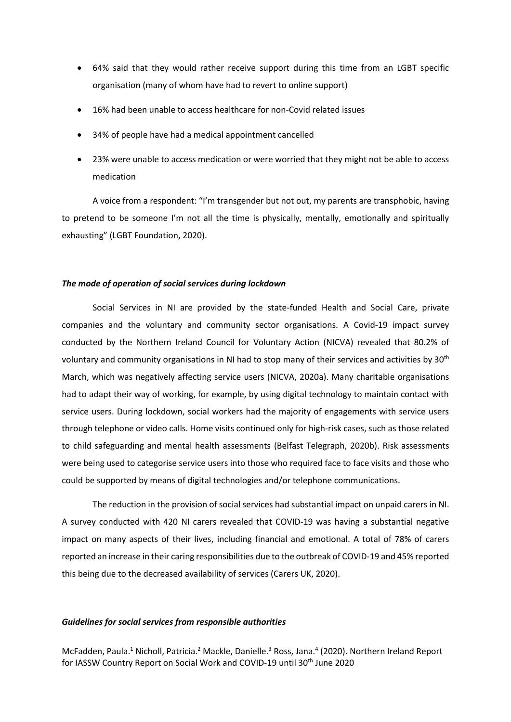- 64% said that they would rather receive support during this time from an LGBT specific organisation (many of whom have had to revert to online support)
- 16% had been unable to access healthcare for non-Covid related issues
- 34% of people have had a medical appointment cancelled
- 23% were unable to access medication or were worried that they might not be able to access medication

A voice from a respondent: "I'm transgender but not out, my parents are transphobic, having to pretend to be someone I'm not all the time is physically, mentally, emotionally and spiritually exhausting" (LGBT Foundation, 2020).

## *The mode of operation of social services during lockdown*

Social Services in NI are provided by the state-funded Health and Social Care, private companies and the voluntary and community sector organisations. A Covid-19 impact survey conducted by the Northern Ireland Council for Voluntary Action (NICVA) revealed that 80.2% of voluntary and community organisations in NI had to stop many of their services and activities by 30th March, which was negatively affecting service users (NICVA, 2020a). Many charitable organisations had to adapt their way of working, for example, by using digital technology to maintain contact with service users. During lockdown, social workers had the majority of engagements with service users through telephone or video calls. Home visits continued only for high-risk cases, such as those related to child safeguarding and mental health assessments (Belfast Telegraph, 2020b). Risk assessments were being used to categorise service users into those who required face to face visits and those who could be supported by means of digital technologies and/or telephone communications.

The reduction in the provision of social services had substantial impact on unpaid carers in NI. A survey conducted with 420 NI carers revealed that COVID-19 was having a substantial negative impact on many aspects of their lives, including financial and emotional. A total of 78% of carers reported an increase in their caring responsibilities due to the outbreak of COVID-19 and 45% reported this being due to the decreased availability of services (Carers UK, 2020).

## *Guidelines for social services from responsible authorities*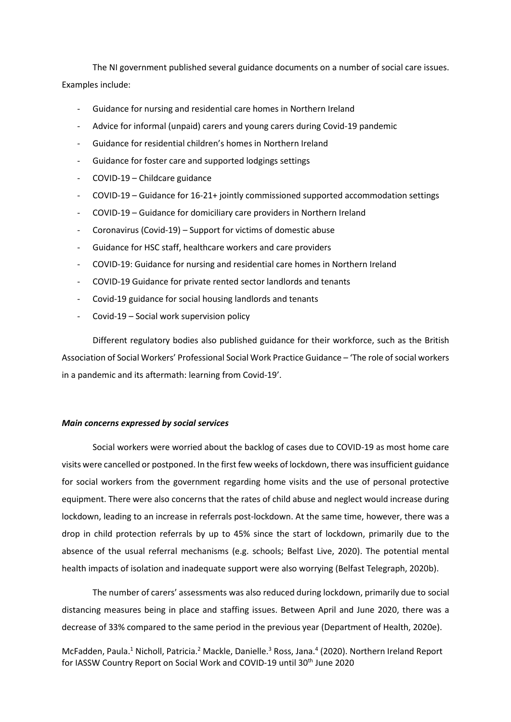The NI government published several guidance documents on a number of social care issues. Examples include:

- Guidance for nursing and residential care homes in Northern Ireland
- Advice for informal (unpaid) carers and young carers during Covid-19 pandemic
- Guidance for residential children's homes in Northern Ireland
- Guidance for foster care and supported lodgings settings
- COVID-19 Childcare guidance
- COVID-19 Guidance for 16-21+ jointly commissioned supported accommodation settings
- COVID-19 Guidance for domiciliary care providers in Northern Ireland
- Coronavirus (Covid-19) Support for victims of domestic abuse
- Guidance for HSC staff, healthcare workers and care providers
- COVID-19: Guidance for nursing and residential care homes in Northern Ireland
- COVID-19 Guidance for private rented sector landlords and tenants
- Covid-19 guidance for social housing landlords and tenants
- Covid-19 Social work supervision policy

Different regulatory bodies also published guidance for their workforce, such as the British Association of Social Workers' Professional Social Work Practice Guidance – 'The role of social workers in a pandemic and its aftermath: learning from Covid-19'.

## *Main concerns expressed by social services*

Social workers were worried about the backlog of cases due to COVID-19 as most home care visits were cancelled or postponed. In the first few weeks of lockdown, there was insufficient guidance for social workers from the government regarding home visits and the use of personal protective equipment. There were also concerns that the rates of child abuse and neglect would increase during lockdown, leading to an increase in referrals post-lockdown. At the same time, however, there was a drop in child protection referrals by up to 45% since the start of lockdown, primarily due to the absence of the usual referral mechanisms (e.g. schools; Belfast Live, 2020). The potential mental health impacts of isolation and inadequate support were also worrying (Belfast Telegraph, 2020b).

The number of carers' assessments was also reduced during lockdown, primarily due to social distancing measures being in place and staffing issues. Between April and June 2020, there was a decrease of 33% compared to the same period in the previous year (Department of Health, 2020e).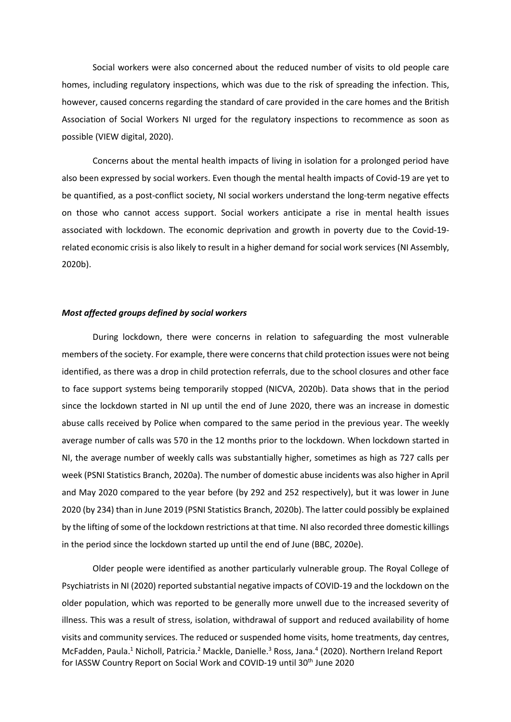Social workers were also concerned about the reduced number of visits to old people care homes, including regulatory inspections, which was due to the risk of spreading the infection. This, however, caused concerns regarding the standard of care provided in the care homes and the British Association of Social Workers NI urged for the regulatory inspections to recommence as soon as possible (VIEW digital, 2020).

Concerns about the mental health impacts of living in isolation for a prolonged period have also been expressed by social workers. Even though the mental health impacts of Covid-19 are yet to be quantified, as a post-conflict society, NI social workers understand the long-term negative effects on those who cannot access support. Social workers anticipate a rise in mental health issues associated with lockdown. The economic deprivation and growth in poverty due to the Covid-19 related economic crisis is also likely to result in a higher demand for social work services (NI Assembly, 2020b).

#### *Most affected groups defined by social workers*

During lockdown, there were concerns in relation to safeguarding the most vulnerable members of the society. For example, there were concerns that child protection issues were not being identified, as there was a drop in child protection referrals, due to the school closures and other face to face support systems being temporarily stopped (NICVA, 2020b). Data shows that in the period since the lockdown started in NI up until the end of June 2020, there was an increase in domestic abuse calls received by Police when compared to the same period in the previous year. The weekly average number of calls was 570 in the 12 months prior to the lockdown. When lockdown started in NI, the average number of weekly calls was substantially higher, sometimes as high as 727 calls per week (PSNI Statistics Branch, 2020a). The number of domestic abuse incidents was also higher in April and May 2020 compared to the year before (by 292 and 252 respectively), but it was lower in June 2020 (by 234) than in June 2019 (PSNI Statistics Branch, 2020b). The latter could possibly be explained by the lifting of some of the lockdown restrictions at that time. NI also recorded three domestic killings in the period since the lockdown started up until the end of June (BBC, 2020e).

McFadden, Paula.<sup>1</sup> Nicholl, Patricia.<sup>2</sup> Mackle, Danielle.<sup>3</sup> Ross, Jana.<sup>4</sup> (2020). Northern Ireland Report for IASSW Country Report on Social Work and COVID-19 until 30<sup>th</sup> June 2020 Older people were identified as another particularly vulnerable group. The Royal College of Psychiatrists in NI (2020) reported substantial negative impacts of COVID-19 and the lockdown on the older population, which was reported to be generally more unwell due to the increased severity of illness. This was a result of stress, isolation, withdrawal of support and reduced availability of home visits and community services. The reduced or suspended home visits, home treatments, day centres,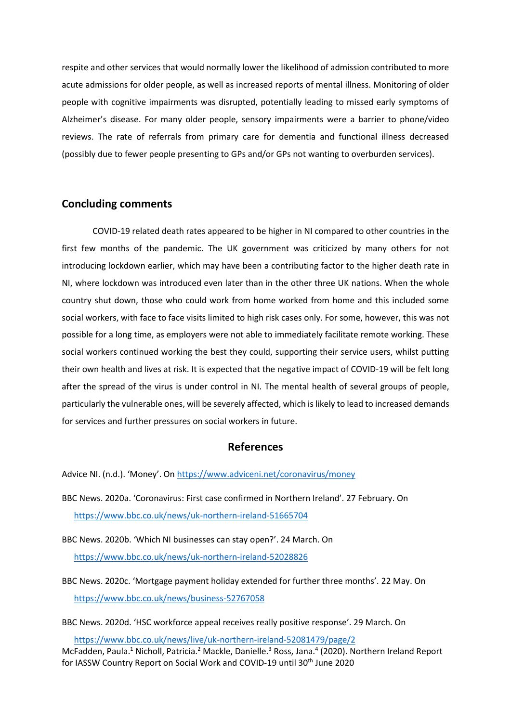respite and other services that would normally lower the likelihood of admission contributed to more acute admissions for older people, as well as increased reports of mental illness. Monitoring of older people with cognitive impairments was disrupted, potentially leading to missed early symptoms of Alzheimer's disease. For many older people, sensory impairments were a barrier to phone/video reviews. The rate of referrals from primary care for dementia and functional illness decreased (possibly due to fewer people presenting to GPs and/or GPs not wanting to overburden services).

## **Concluding comments**

COVID-19 related death rates appeared to be higher in NI compared to other countries in the first few months of the pandemic. The UK government was criticized by many others for not introducing lockdown earlier, which may have been a contributing factor to the higher death rate in NI, where lockdown was introduced even later than in the other three UK nations. When the whole country shut down, those who could work from home worked from home and this included some social workers, with face to face visits limited to high risk cases only. For some, however, this was not possible for a long time, as employers were not able to immediately facilitate remote working. These social workers continued working the best they could, supporting their service users, whilst putting their own health and lives at risk. It is expected that the negative impact of COVID-19 will be felt long after the spread of the virus is under control in NI. The mental health of several groups of people, particularly the vulnerable ones, will be severely affected, which is likely to lead to increased demands for services and further pressures on social workers in future.

## **References**

Advice NI. (n.d.). 'Money'. On <https://www.adviceni.net/coronavirus/money>

BBC News. 2020a. 'Coronavirus: First case confirmed in Northern Ireland'. 27 February. On <https://www.bbc.co.uk/news/uk-northern-ireland-51665704>

BBC News. 2020b. 'Which NI businesses can stay open?'. 24 March. On <https://www.bbc.co.uk/news/uk-northern-ireland-52028826>

BBC News. 2020c. 'Mortgage payment holiday extended for further three months'. 22 May. On <https://www.bbc.co.uk/news/business-52767058>

BBC News. 2020d. 'HSC workforce appeal receives really positive response'. 29 March. On

McFadden, Paula.<sup>1</sup> Nicholl, Patricia.<sup>2</sup> Mackle, Danielle.<sup>3</sup> Ross, Jana.<sup>4</sup> (2020). Northern Ireland Report for IASSW Country Report on Social Work and COVID-19 until 30<sup>th</sup> June 2020 <https://www.bbc.co.uk/news/live/uk-northern-ireland-52081479/page/2>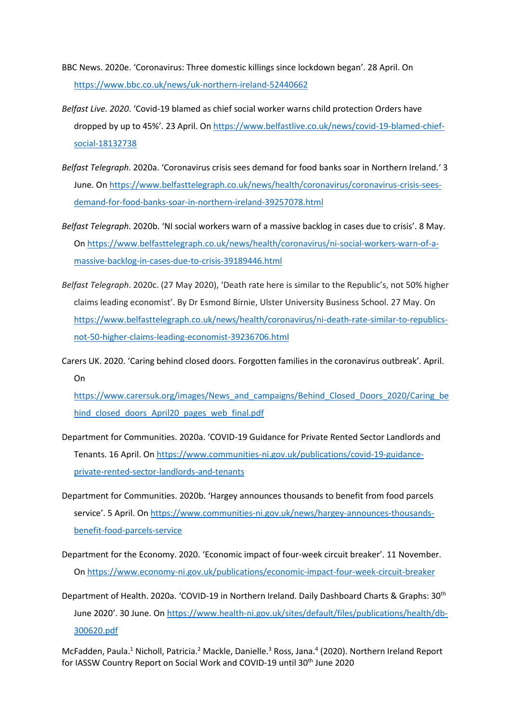- BBC News. 2020e. 'Coronavirus: Three domestic killings since lockdown began'. 28 April. On <https://www.bbc.co.uk/news/uk-northern-ireland-52440662>
- *Belfast Live. 2020*. 'Covid-19 blamed as chief social worker warns child protection Orders have dropped by up to 45%'*.* 23 April. On [https://www.belfastlive.co.uk/news/covid-19-blamed-chief](https://www.belfastlive.co.uk/news/covid-19-blamed-chief-social-18132738)[social-18132738](https://www.belfastlive.co.uk/news/covid-19-blamed-chief-social-18132738)
- *Belfast Telegraph*. 2020a. 'Coronavirus crisis sees demand for food banks soar in Northern Ireland.' 3 June. O[n https://www.belfasttelegraph.co.uk/news/health/coronavirus/coronavirus-crisis-sees](https://www.belfasttelegraph.co.uk/news/health/coronavirus/coronavirus-crisis-sees-demand-for-food-banks-soar-in-northern-ireland-39257078.html)[demand-for-food-banks-soar-in-northern-ireland-39257078.html](https://www.belfasttelegraph.co.uk/news/health/coronavirus/coronavirus-crisis-sees-demand-for-food-banks-soar-in-northern-ireland-39257078.html)
- *Belfast Telegraph*. 2020b. 'NI social workers warn of a massive backlog in cases due to crisis'. 8 May. O[n https://www.belfasttelegraph.co.uk/news/health/coronavirus/ni-social-workers-warn-of-a](https://www.belfasttelegraph.co.uk/news/health/coronavirus/ni-social-workers-warn-of-a-massive-backlog-in-cases-due-to-crisis-39189446.html)[massive-backlog-in-cases-due-to-crisis-39189446.html](https://www.belfasttelegraph.co.uk/news/health/coronavirus/ni-social-workers-warn-of-a-massive-backlog-in-cases-due-to-crisis-39189446.html)
- *Belfast Telegraph*. 2020c. (27 May 2020), 'Death rate here is similar to the Republic's, not 50% higher claims leading economist'. By Dr Esmond Birnie, Ulster University Business School. 27 May. On [https://www.belfasttelegraph.co.uk/news/health/coronavirus/ni-death-rate-similar-to-republics](https://www.belfasttelegraph.co.uk/news/health/coronavirus/ni-death-rate-similar-to-republics-not-50-higher-claims-leading-economist-39236706.html)[not-50-higher-claims-leading-economist-39236706.html](https://www.belfasttelegraph.co.uk/news/health/coronavirus/ni-death-rate-similar-to-republics-not-50-higher-claims-leading-economist-39236706.html)
- Carers UK. 2020. 'Caring behind closed doors. Forgotten families in the coronavirus outbreak'. April. On

[https://www.carersuk.org/images/News\\_and\\_campaigns/Behind\\_Closed\\_Doors\\_2020/Caring\\_be](https://www.carersuk.org/images/News_and_campaigns/Behind_Closed_Doors_2020/Caring_behind_closed_doors_April20_pages_web_final.pdf) hind closed doors April20 pages web final.pdf

- Department for Communities. 2020a. 'COVID-19 Guidance for Private Rented Sector Landlords and Tenants. 16 April. O[n https://www.communities-ni.gov.uk/publications/covid-19-guidance](https://www.communities-ni.gov.uk/publications/covid-19-guidance-private-rented-sector-landlords-and-tenants)[private-rented-sector-landlords-and-tenants](https://www.communities-ni.gov.uk/publications/covid-19-guidance-private-rented-sector-landlords-and-tenants)
- Department for Communities. 2020b. 'Hargey announces thousands to benefit from food parcels service'. 5 April. On [https://www.communities-ni.gov.uk/news/hargey-announces-thousands](https://www.communities-ni.gov.uk/news/hargey-announces-thousands-benefit-food-parcels-service)[benefit-food-parcels-service](https://www.communities-ni.gov.uk/news/hargey-announces-thousands-benefit-food-parcels-service)
- Department for the Economy. 2020. 'Economic impact of four-week circuit breaker'. 11 November. O[n https://www.economy-ni.gov.uk/publications/economic-impact-four-week-circuit-breaker](https://www.economy-ni.gov.uk/publications/economic-impact-four-week-circuit-breaker)

Department of Health. 2020a. 'COVID-19 in Northern Ireland. Daily Dashboard Charts & Graphs: 30th June 2020'. 30 June. On [https://www.health-ni.gov.uk/sites/default/files/publications/health/db-](https://www.health-ni.gov.uk/sites/default/files/publications/health/db-300620.pdf)[300620.pdf](https://www.health-ni.gov.uk/sites/default/files/publications/health/db-300620.pdf)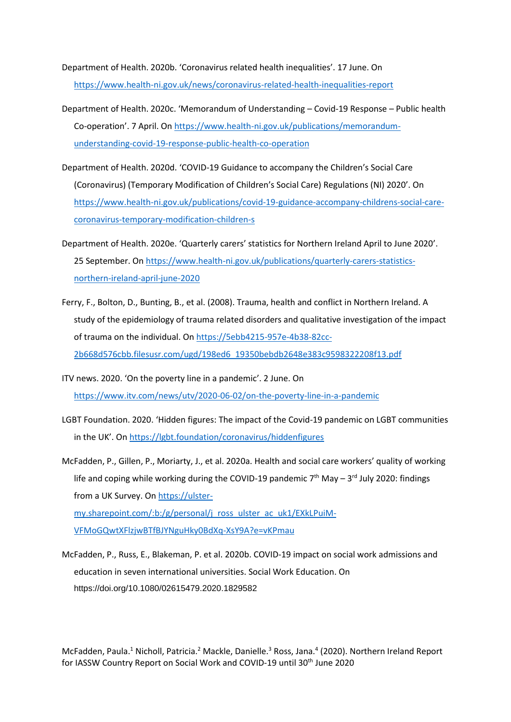Department of Health. 2020b. 'Coronavirus related health inequalities'. 17 June. On <https://www.health-ni.gov.uk/news/coronavirus-related-health-inequalities-report>

- Department of Health. 2020c. 'Memorandum of Understanding Covid-19 Response Public health Co-operation'. 7 April. On [https://www.health-ni.gov.uk/publications/memorandum](https://www.health-ni.gov.uk/publications/memorandum-understanding-covid-19-response-public-health-co-operation)[understanding-covid-19-response-public-health-co-operation](https://www.health-ni.gov.uk/publications/memorandum-understanding-covid-19-response-public-health-co-operation)
- Department of Health. 2020d. 'COVID-19 Guidance to accompany the Children's Social Care (Coronavirus) (Temporary Modification of Children's Social Care) Regulations (NI) 2020'. On [https://www.health-ni.gov.uk/publications/covid-19-guidance-accompany-childrens-social-care](https://www.health-ni.gov.uk/publications/covid-19-guidance-accompany-childrens-social-care-coronavirus-temporary-modification-children-s)[coronavirus-temporary-modification-children-s](https://www.health-ni.gov.uk/publications/covid-19-guidance-accompany-childrens-social-care-coronavirus-temporary-modification-children-s)
- Department of Health. 2020e. 'Quarterly carers' statistics for Northern Ireland April to June 2020'. 25 September. On [https://www.health-ni.gov.uk/publications/quarterly-carers-statistics](https://www.health-ni.gov.uk/publications/quarterly-carers-statistics-northern-ireland-april-june-2020)[northern-ireland-april-june-2020](https://www.health-ni.gov.uk/publications/quarterly-carers-statistics-northern-ireland-april-june-2020)
- Ferry, F., Bolton, D., Bunting, B., et al. (2008). Trauma, health and conflict in Northern Ireland. A study of the epidemiology of trauma related disorders and qualitative investigation of the impact of trauma on the individual. O[n https://5ebb4215-957e-4b38-82cc-](https://5ebb4215-957e-4b38-82cc-2b668d576cbb.filesusr.com/ugd/198ed6_19350bebdb2648e383c9598322208f13.pdf)[2b668d576cbb.filesusr.com/ugd/198ed6\\_19350bebdb2648e383c9598322208f13.pdf](https://5ebb4215-957e-4b38-82cc-2b668d576cbb.filesusr.com/ugd/198ed6_19350bebdb2648e383c9598322208f13.pdf)
- ITV news. 2020. 'On the poverty line in a pandemic'. 2 June. On <https://www.itv.com/news/utv/2020-06-02/on-the-poverty-line-in-a-pandemic>
- LGBT Foundation. 2020. 'Hidden figures: The impact of the Covid-19 pandemic on LGBT communities in the UK'. O[n https://lgbt.foundation/coronavirus/hiddenfigures](https://lgbt.foundation/coronavirus/hiddenfigures)

McFadden, P., Gillen, P., Moriarty, J., et al. 2020a. Health and social care workers' quality of working life and coping while working during the COVID-19 pandemic  $7<sup>th</sup>$  May – 3<sup>rd</sup> July 2020: findings from a UK Survey. On [https://ulster](https://ulster-my.sharepoint.com/:b:/g/personal/j_ross_ulster_ac_uk1/EXkLPuiM-VFMoGQwtXFlzjwBTfBJYNguHky0BdXq-XsY9A?e=vKPmau)[my.sharepoint.com/:b:/g/personal/j\\_ross\\_ulster\\_ac\\_uk1/EXkLPuiM-](https://ulster-my.sharepoint.com/:b:/g/personal/j_ross_ulster_ac_uk1/EXkLPuiM-VFMoGQwtXFlzjwBTfBJYNguHky0BdXq-XsY9A?e=vKPmau)[VFMoGQwtXFlzjwBTfBJYNguHky0BdXq-XsY9A?e=vKPmau](https://ulster-my.sharepoint.com/:b:/g/personal/j_ross_ulster_ac_uk1/EXkLPuiM-VFMoGQwtXFlzjwBTfBJYNguHky0BdXq-XsY9A?e=vKPmau)

McFadden, P., Russ, E., Blakeman, P. et al. 2020b. COVID-19 impact on social work admissions and education in seven international universities. Social Work Education. On <https://doi.org/10.1080/02615479.2020.1829582>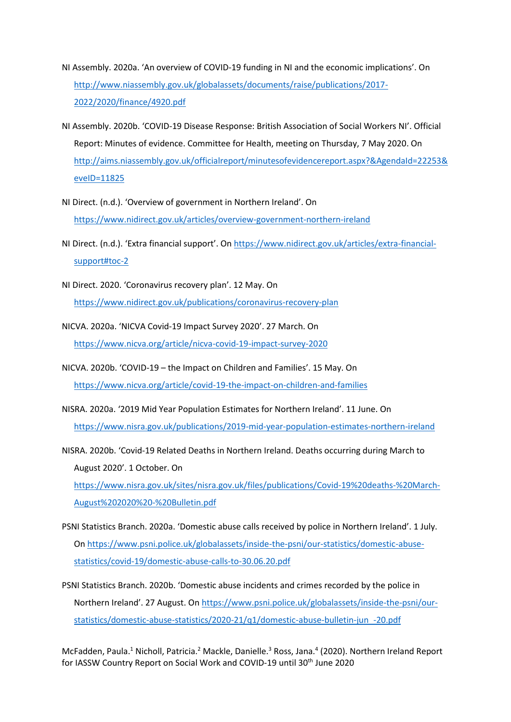- NI Assembly. 2020a. 'An overview of COVID-19 funding in NI and the economic implications'. On [http://www.niassembly.gov.uk/globalassets/documents/raise/publications/2017-](http://www.niassembly.gov.uk/globalassets/documents/raise/publications/2017-2022/2020/finance/4920.pdf) [2022/2020/finance/4920.pdf](http://www.niassembly.gov.uk/globalassets/documents/raise/publications/2017-2022/2020/finance/4920.pdf)
- NI Assembly. 2020b. 'COVID-19 Disease Response: British Association of Social Workers NI'. Official Report: Minutes of evidence. Committee for Health, meeting on Thursday, 7 May 2020. On [http://aims.niassembly.gov.uk/officialreport/minutesofevidencereport.aspx?&AgendaId=22253&](http://aims.niassembly.gov.uk/officialreport/minutesofevidencereport.aspx?&AgendaId=22253&eveID=11825) [eveID=11825](http://aims.niassembly.gov.uk/officialreport/minutesofevidencereport.aspx?&AgendaId=22253&eveID=11825)
- NI Direct. (n.d.). 'Overview of government in Northern Ireland'. On <https://www.nidirect.gov.uk/articles/overview-government-northern-ireland>
- NI Direct. (n.d.). 'Extra financial support'. On [https://www.nidirect.gov.uk/articles/extra-financial](https://www.nidirect.gov.uk/articles/extra-financial-support#toc-2)[support#toc-2](https://www.nidirect.gov.uk/articles/extra-financial-support#toc-2)
- NI Direct. 2020. 'Coronavirus recovery plan'. 12 May. On <https://www.nidirect.gov.uk/publications/coronavirus-recovery-plan>
- NICVA. 2020a. 'NICVA Covid-19 Impact Survey 2020'. 27 March. On <https://www.nicva.org/article/nicva-covid-19-impact-survey-2020>
- NICVA. 2020b. 'COVID-19 the Impact on Children and Families'. 15 May. On <https://www.nicva.org/article/covid-19-the-impact-on-children-and-families>
- NISRA. 2020a. '2019 Mid Year Population Estimates for Northern Ireland'. 11 June. On <https://www.nisra.gov.uk/publications/2019-mid-year-population-estimates-northern-ireland>
- NISRA. 2020b. 'Covid-19 Related Deaths in Northern Ireland. Deaths occurring during March to August 2020'. 1 October. On [https://www.nisra.gov.uk/sites/nisra.gov.uk/files/publications/Covid-19%20deaths-%20March-](https://www.nisra.gov.uk/sites/nisra.gov.uk/files/publications/Covid-19%20deaths-%20March-August%202020%20-%20Bulletin.pdf)[August%202020%20-%20Bulletin.pdf](https://www.nisra.gov.uk/sites/nisra.gov.uk/files/publications/Covid-19%20deaths-%20March-August%202020%20-%20Bulletin.pdf)
- PSNI Statistics Branch. 2020a. 'Domestic abuse calls received by police in Northern Ireland'. 1 July. O[n https://www.psni.police.uk/globalassets/inside-the-psni/our-statistics/domestic-abuse](https://www.psni.police.uk/globalassets/inside-the-psni/our-statistics/domestic-abuse-statistics/covid-19/domestic-abuse-calls-to-30.06.20.pdf)[statistics/covid-19/domestic-abuse-calls-to-30.06.20.pdf](https://www.psni.police.uk/globalassets/inside-the-psni/our-statistics/domestic-abuse-statistics/covid-19/domestic-abuse-calls-to-30.06.20.pdf)
- PSNI Statistics Branch. 2020b. 'Domestic abuse incidents and crimes recorded by the police in Northern Ireland'. 27 August. On [https://www.psni.police.uk/globalassets/inside-the-psni/our](https://www.psni.police.uk/globalassets/inside-the-psni/our-statistics/domestic-abuse-statistics/2020-21/q1/domestic-abuse-bulletin-jun_-20.pdf)[statistics/domestic-abuse-statistics/2020-21/q1/domestic-abuse-bulletin-jun\\_-20.pdf](https://www.psni.police.uk/globalassets/inside-the-psni/our-statistics/domestic-abuse-statistics/2020-21/q1/domestic-abuse-bulletin-jun_-20.pdf)